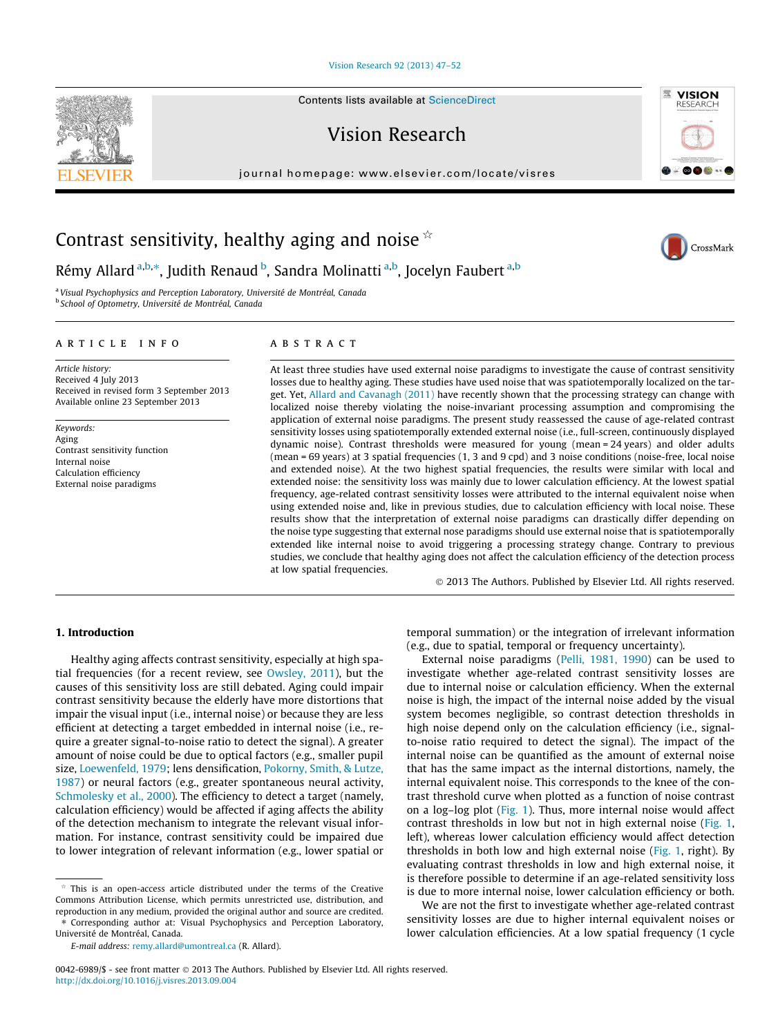### [Vision Research 92 \(2013\) 47–52](http://dx.doi.org/10.1016/j.visres.2013.09.004)

Contents lists available at [ScienceDirect](http://www.sciencedirect.com/science/journal/00426989)

# Vision Research

journal homepage: [www.elsevier.com/locate/visres](http://www.elsevier.com/locate/visres)



CrossMark

# Contrast sensitivity, healthy aging and noise  $\dot{\alpha}$

Rémy Allard <sup>a,b,</sup>\*, Judith Renaud <sup>b</sup>, Sandra Molinatti <sup>a,b</sup>, Jocelyn Faubert <sup>a,b</sup>

<sup>a</sup> Visual Psychophysics and Perception Laboratory, Université de Montréal, Canada <sup>b</sup> School of Optometry, Université de Montréal, Canada

# article info

Article history: Received 4 July 2013 Received in revised form 3 September 2013 Available online 23 September 2013

Keywords: Aging Contrast sensitivity function Internal noise Calculation efficiency External noise paradigms

# **ABSTRACT**

At least three studies have used external noise paradigms to investigate the cause of contrast sensitivity losses due to healthy aging. These studies have used noise that was spatiotemporally localized on the target. Yet, [Allard and Cavanagh \(2011\)](#page-5-0) have recently shown that the processing strategy can change with localized noise thereby violating the noise-invariant processing assumption and compromising the application of external noise paradigms. The present study reassessed the cause of age-related contrast sensitivity losses using spatiotemporally extended external noise (i.e., full-screen, continuously displayed dynamic noise). Contrast thresholds were measured for young (mean = 24 years) and older adults (mean = 69 years) at 3 spatial frequencies (1, 3 and 9 cpd) and 3 noise conditions (noise-free, local noise and extended noise). At the two highest spatial frequencies, the results were similar with local and extended noise: the sensitivity loss was mainly due to lower calculation efficiency. At the lowest spatial frequency, age-related contrast sensitivity losses were attributed to the internal equivalent noise when using extended noise and, like in previous studies, due to calculation efficiency with local noise. These results show that the interpretation of external noise paradigms can drastically differ depending on the noise type suggesting that external nose paradigms should use external noise that is spatiotemporally extended like internal noise to avoid triggering a processing strategy change. Contrary to previous studies, we conclude that healthy aging does not affect the calculation efficiency of the detection process at low spatial frequencies.

- 2013 The Authors. Published by Elsevier Ltd. All rights reserved.

# 1. Introduction

Healthy aging affects contrast sensitivity, especially at high spatial frequencies (for a recent review, see [Owsley, 2011\)](#page-5-0), but the causes of this sensitivity loss are still debated. Aging could impair contrast sensitivity because the elderly have more distortions that impair the visual input (i.e., internal noise) or because they are less efficient at detecting a target embedded in internal noise (i.e., require a greater signal-to-noise ratio to detect the signal). A greater amount of noise could be due to optical factors (e.g., smaller pupil size, [Loewenfeld, 1979](#page-5-0); lens densification, [Pokorny, Smith, & Lutze,](#page-5-0) [1987\)](#page-5-0) or neural factors (e.g., greater spontaneous neural activity, [Schmolesky et al., 2000](#page-5-0)). The efficiency to detect a target (namely, calculation efficiency) would be affected if aging affects the ability of the detection mechanism to integrate the relevant visual information. For instance, contrast sensitivity could be impaired due to lower integration of relevant information (e.g., lower spatial or

 $*$  This is an open-access article distributed under the terms of the Creative Commons Attribution License, which permits unrestricted use, distribution, and reproduction in any medium, provided the original author and source are credited. ⇑ Corresponding author at: Visual Psychophysics and Perception Laboratory,

Université de Montréal, Canada.

E-mail address: [remy.allard@umontreal.ca](mailto:remy.allard@umontreal.ca) (R. Allard).

temporal summation) or the integration of irrelevant information (e.g., due to spatial, temporal or frequency uncertainty).

External noise paradigms ([Pelli, 1981, 1990\)](#page-5-0) can be used to investigate whether age-related contrast sensitivity losses are due to internal noise or calculation efficiency. When the external noise is high, the impact of the internal noise added by the visual system becomes negligible, so contrast detection thresholds in high noise depend only on the calculation efficiency (i.e., signalto-noise ratio required to detect the signal). The impact of the internal noise can be quantified as the amount of external noise that has the same impact as the internal distortions, namely, the internal equivalent noise. This corresponds to the knee of the contrast threshold curve when plotted as a function of noise contrast on a log–log plot ([Fig. 1\)](#page-1-0). Thus, more internal noise would affect contrast thresholds in low but not in high external noise ([Fig. 1,](#page-1-0) left), whereas lower calculation efficiency would affect detection thresholds in both low and high external noise ([Fig. 1,](#page-1-0) right). By evaluating contrast thresholds in low and high external noise, it is therefore possible to determine if an age-related sensitivity loss is due to more internal noise, lower calculation efficiency or both.

We are not the first to investigate whether age-related contrast sensitivity losses are due to higher internal equivalent noises or lower calculation efficiencies. At a low spatial frequency (1 cycle

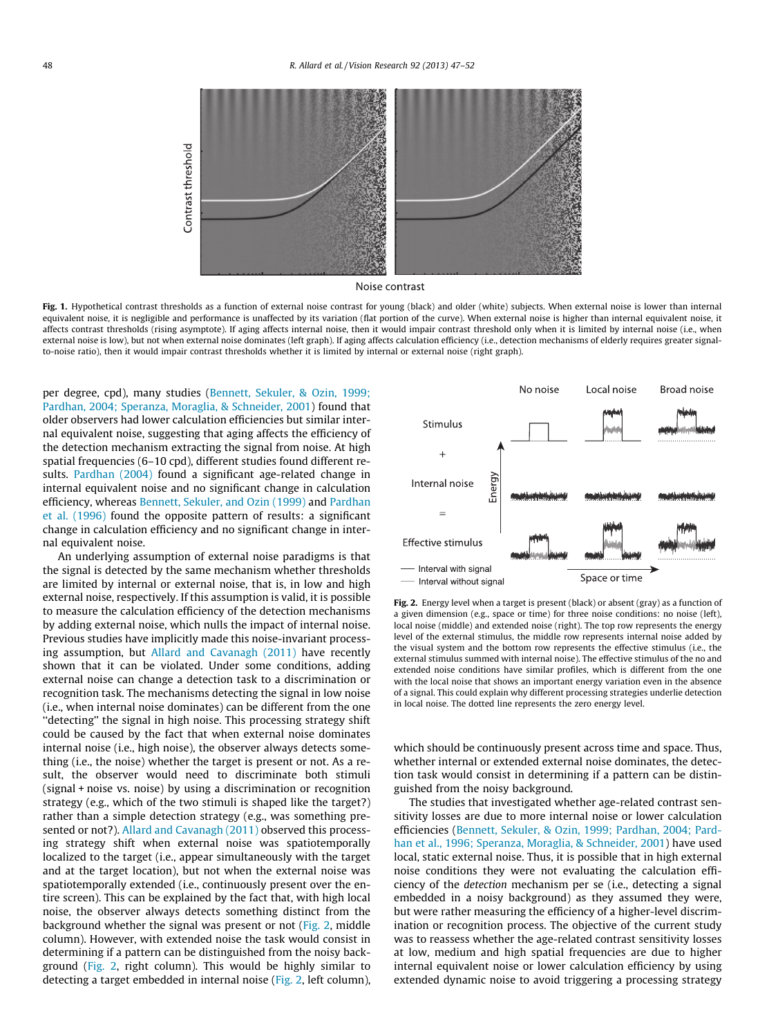<span id="page-1-0"></span>

Noise contrast

Fig. 1. Hypothetical contrast thresholds as a function of external noise contrast for young (black) and older (white) subjects. When external noise is lower than internal equivalent noise, it is negligible and performance is unaffected by its variation (flat portion of the curve). When external noise is higher than internal equivalent noise, it affects contrast thresholds (rising asymptote). If aging affects internal noise, then it would impair contrast threshold only when it is limited by internal noise (i.e., when external noise is low), but not when external noise dominates (left graph). If aging affects calculation efficiency (i.e., detection mechanisms of elderly requires greater signalto-noise ratio), then it would impair contrast thresholds whether it is limited by internal or external noise (right graph).

per degree, cpd), many studies ([Bennett, Sekuler, & Ozin, 1999;](#page-5-0) [Pardhan, 2004; Speranza, Moraglia, & Schneider, 2001](#page-5-0)) found that older observers had lower calculation efficiencies but similar internal equivalent noise, suggesting that aging affects the efficiency of the detection mechanism extracting the signal from noise. At high spatial frequencies (6–10 cpd), different studies found different results. [Pardhan \(2004\)](#page-5-0) found a significant age-related change in internal equivalent noise and no significant change in calculation efficiency, whereas [Bennett, Sekuler, and Ozin \(1999\)](#page-5-0) and [Pardhan](#page-5-0) [et al. \(1996\)](#page-5-0) found the opposite pattern of results: a significant change in calculation efficiency and no significant change in internal equivalent noise.

An underlying assumption of external noise paradigms is that the signal is detected by the same mechanism whether thresholds are limited by internal or external noise, that is, in low and high external noise, respectively. If this assumption is valid, it is possible to measure the calculation efficiency of the detection mechanisms by adding external noise, which nulls the impact of internal noise. Previous studies have implicitly made this noise-invariant processing assumption, but [Allard and Cavanagh \(2011\)](#page-5-0) have recently shown that it can be violated. Under some conditions, adding external noise can change a detection task to a discrimination or recognition task. The mechanisms detecting the signal in low noise (i.e., when internal noise dominates) can be different from the one "detecting" the signal in high noise. This processing strategy shift could be caused by the fact that when external noise dominates internal noise (i.e., high noise), the observer always detects something (i.e., the noise) whether the target is present or not. As a result, the observer would need to discriminate both stimuli (signal + noise vs. noise) by using a discrimination or recognition strategy (e.g., which of the two stimuli is shaped like the target?) rather than a simple detection strategy (e.g., was something presented or not?). [Allard and Cavanagh \(2011\)](#page-5-0) observed this processing strategy shift when external noise was spatiotemporally localized to the target (i.e., appear simultaneously with the target and at the target location), but not when the external noise was spatiotemporally extended (i.e., continuously present over the entire screen). This can be explained by the fact that, with high local noise, the observer always detects something distinct from the background whether the signal was present or not (Fig. 2, middle column). However, with extended noise the task would consist in determining if a pattern can be distinguished from the noisy background (Fig. 2, right column). This would be highly similar to detecting a target embedded in internal noise (Fig. 2, left column),



Fig. 2. Energy level when a target is present (black) or absent (gray) as a function of a given dimension (e.g., space or time) for three noise conditions: no noise (left), local noise (middle) and extended noise (right). The top row represents the energy level of the external stimulus, the middle row represents internal noise added by the visual system and the bottom row represents the effective stimulus (i.e., the external stimulus summed with internal noise). The effective stimulus of the no and extended noise conditions have similar profiles, which is different from the one with the local noise that shows an important energy variation even in the absence of a signal. This could explain why different processing strategies underlie detection in local noise. The dotted line represents the zero energy level.

which should be continuously present across time and space. Thus, whether internal or extended external noise dominates, the detection task would consist in determining if a pattern can be distinguished from the noisy background.

The studies that investigated whether age-related contrast sensitivity losses are due to more internal noise or lower calculation efficiencies ([Bennett, Sekuler, & Ozin, 1999; Pardhan, 2004; Pard](#page-5-0)[han et al., 1996; Speranza, Moraglia, & Schneider, 2001](#page-5-0)) have used local, static external noise. Thus, it is possible that in high external noise conditions they were not evaluating the calculation efficiency of the detection mechanism per se (i.e., detecting a signal embedded in a noisy background) as they assumed they were, but were rather measuring the efficiency of a higher-level discrimination or recognition process. The objective of the current study was to reassess whether the age-related contrast sensitivity losses at low, medium and high spatial frequencies are due to higher internal equivalent noise or lower calculation efficiency by using extended dynamic noise to avoid triggering a processing strategy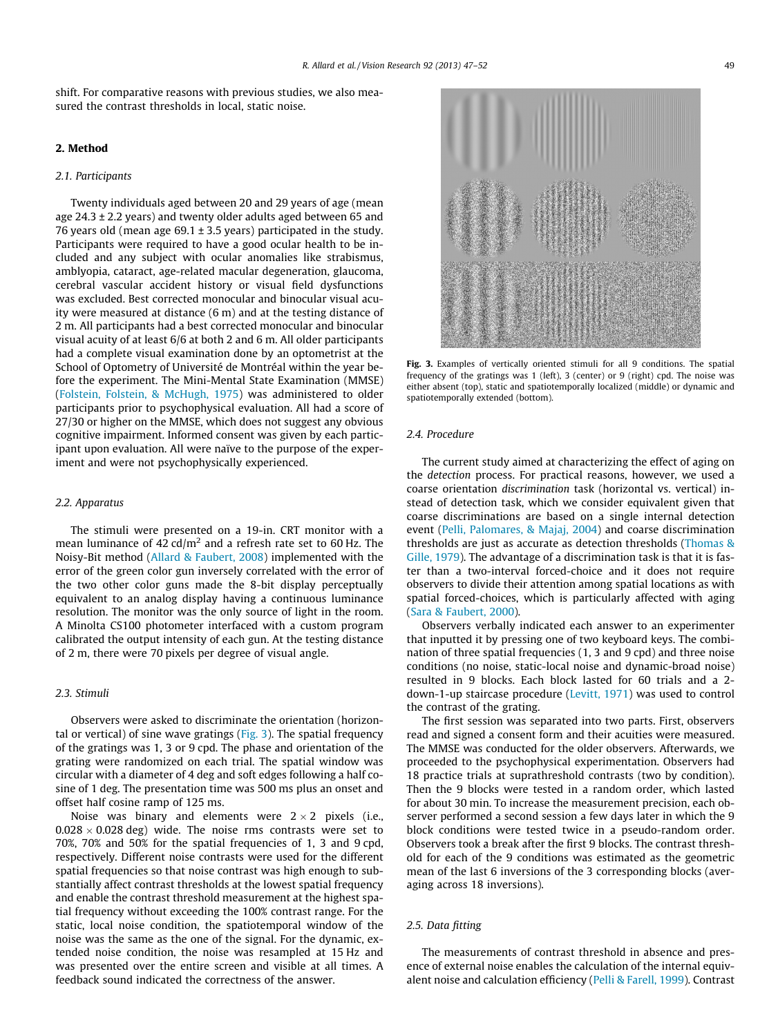shift. For comparative reasons with previous studies, we also measured the contrast thresholds in local, static noise.

# 2. Method

### 2.1. Participants

Twenty individuals aged between 20 and 29 years of age (mean age  $24.3 \pm 2.2$  years) and twenty older adults aged between 65 and 76 years old (mean age 69.1  $\pm$  3.5 years) participated in the study. Participants were required to have a good ocular health to be included and any subject with ocular anomalies like strabismus, amblyopia, cataract, age-related macular degeneration, glaucoma, cerebral vascular accident history or visual field dysfunctions was excluded. Best corrected monocular and binocular visual acuity were measured at distance (6 m) and at the testing distance of 2 m. All participants had a best corrected monocular and binocular visual acuity of at least 6/6 at both 2 and 6 m. All older participants had a complete visual examination done by an optometrist at the School of Optometry of Université de Montréal within the year before the experiment. The Mini-Mental State Examination (MMSE) ([Folstein, Folstein, & McHugh, 1975\)](#page-5-0) was administered to older participants prior to psychophysical evaluation. All had a score of 27/30 or higher on the MMSE, which does not suggest any obvious cognitive impairment. Informed consent was given by each participant upon evaluation. All were naïve to the purpose of the experiment and were not psychophysically experienced.

#### 2.2. Apparatus

The stimuli were presented on a 19-in. CRT monitor with a mean luminance of  $42 \text{ cd/m}^2$  and a refresh rate set to 60 Hz. The Noisy-Bit method ([Allard & Faubert, 2008\)](#page-5-0) implemented with the error of the green color gun inversely correlated with the error of the two other color guns made the 8-bit display perceptually equivalent to an analog display having a continuous luminance resolution. The monitor was the only source of light in the room. A Minolta CS100 photometer interfaced with a custom program calibrated the output intensity of each gun. At the testing distance of 2 m, there were 70 pixels per degree of visual angle.

#### 2.3. Stimuli

Observers were asked to discriminate the orientation (horizontal or vertical) of sine wave gratings ( $Fig. 3$ ). The spatial frequency of the gratings was 1, 3 or 9 cpd. The phase and orientation of the grating were randomized on each trial. The spatial window was circular with a diameter of 4 deg and soft edges following a half cosine of 1 deg. The presentation time was 500 ms plus an onset and offset half cosine ramp of 125 ms.

Noise was binary and elements were  $2 \times 2$  pixels (i.e.,  $0.028 \times 0.028$  deg) wide. The noise rms contrasts were set to 70%, 70% and 50% for the spatial frequencies of 1, 3 and 9 cpd, respectively. Different noise contrasts were used for the different spatial frequencies so that noise contrast was high enough to substantially affect contrast thresholds at the lowest spatial frequency and enable the contrast threshold measurement at the highest spatial frequency without exceeding the 100% contrast range. For the static, local noise condition, the spatiotemporal window of the noise was the same as the one of the signal. For the dynamic, extended noise condition, the noise was resampled at 15 Hz and was presented over the entire screen and visible at all times. A feedback sound indicated the correctness of the answer.



Fig. 3. Examples of vertically oriented stimuli for all 9 conditions. The spatial frequency of the gratings was 1 (left), 3 (center) or 9 (right) cpd. The noise was either absent (top), static and spatiotemporally localized (middle) or dynamic and spatiotemporally extended (bottom).

#### 2.4. Procedure

The current study aimed at characterizing the effect of aging on the detection process. For practical reasons, however, we used a coarse orientation discrimination task (horizontal vs. vertical) instead of detection task, which we consider equivalent given that coarse discriminations are based on a single internal detection event ([Pelli, Palomares, & Majaj, 2004](#page-5-0)) and coarse discrimination thresholds are just as accurate as detection thresholds ([Thomas &](#page-5-0) [Gille, 1979](#page-5-0)). The advantage of a discrimination task is that it is faster than a two-interval forced-choice and it does not require observers to divide their attention among spatial locations as with spatial forced-choices, which is particularly affected with aging ([Sara & Faubert, 2000\)](#page-5-0).

Observers verbally indicated each answer to an experimenter that inputted it by pressing one of two keyboard keys. The combination of three spatial frequencies (1, 3 and 9 cpd) and three noise conditions (no noise, static-local noise and dynamic-broad noise) resulted in 9 blocks. Each block lasted for 60 trials and a 2 down-1-up staircase procedure [\(Levitt, 1971](#page-5-0)) was used to control the contrast of the grating.

The first session was separated into two parts. First, observers read and signed a consent form and their acuities were measured. The MMSE was conducted for the older observers. Afterwards, we proceeded to the psychophysical experimentation. Observers had 18 practice trials at suprathreshold contrasts (two by condition). Then the 9 blocks were tested in a random order, which lasted for about 30 min. To increase the measurement precision, each observer performed a second session a few days later in which the 9 block conditions were tested twice in a pseudo-random order. Observers took a break after the first 9 blocks. The contrast threshold for each of the 9 conditions was estimated as the geometric mean of the last 6 inversions of the 3 corresponding blocks (averaging across 18 inversions).

# 2.5. Data fitting

The measurements of contrast threshold in absence and presence of external noise enables the calculation of the internal equivalent noise and calculation efficiency [\(Pelli & Farell, 1999\)](#page-5-0). Contrast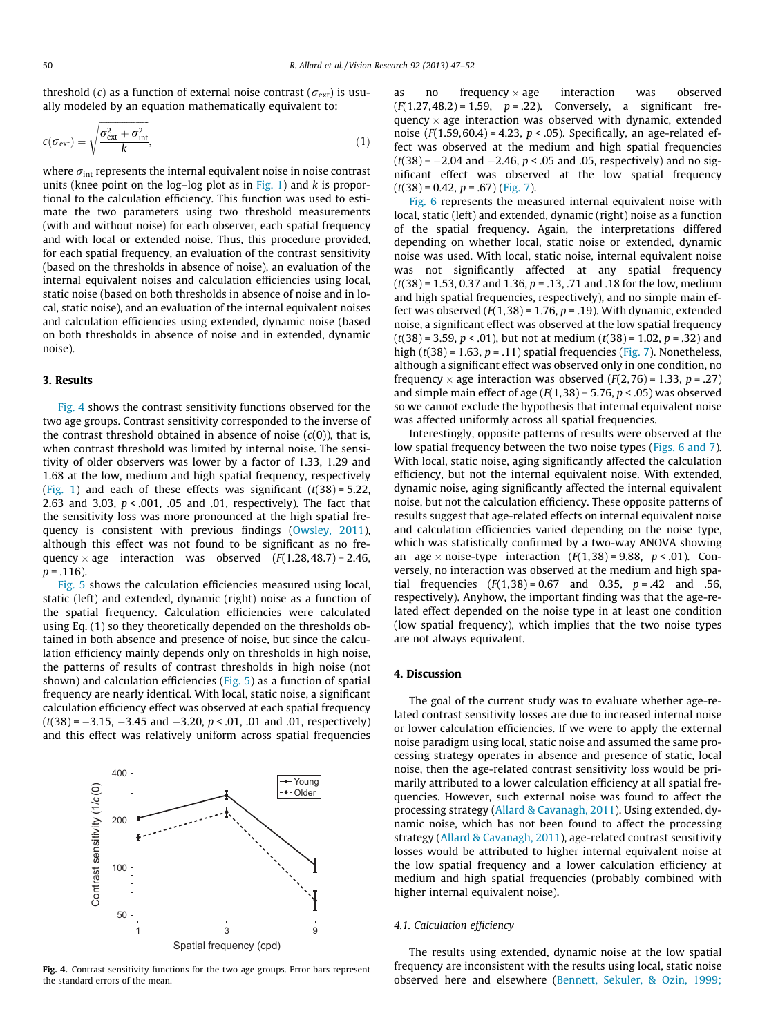<span id="page-3-0"></span>threshold (c) as a function of external noise contrast ( $\sigma_{ext}$ ) is usually modeled by an equation mathematically equivalent to:

$$
c(\sigma_{\text{ext}}) = \sqrt{\frac{\sigma_{\text{ext}}^2 + \sigma_{\text{int}}^2}{k}},
$$
\n(1)

where  $\sigma_{\text{int}}$  represents the internal equivalent noise in noise contrast units (knee point on the log–log plot as in [Fig. 1\)](#page-1-0) and  $k$  is proportional to the calculation efficiency. This function was used to estimate the two parameters using two threshold measurements (with and without noise) for each observer, each spatial frequency and with local or extended noise. Thus, this procedure provided, for each spatial frequency, an evaluation of the contrast sensitivity (based on the thresholds in absence of noise), an evaluation of the internal equivalent noises and calculation efficiencies using local, static noise (based on both thresholds in absence of noise and in local, static noise), and an evaluation of the internal equivalent noises and calculation efficiencies using extended, dynamic noise (based on both thresholds in absence of noise and in extended, dynamic noise).

# 3. Results

Fig. 4 shows the contrast sensitivity functions observed for the two age groups. Contrast sensitivity corresponded to the inverse of the contrast threshold obtained in absence of noise  $(c(0))$ , that is, when contrast threshold was limited by internal noise. The sensitivity of older observers was lower by a factor of 1.33, 1.29 and 1.68 at the low, medium and high spatial frequency, respectively ([Fig. 1](#page-1-0)) and each of these effects was significant  $(t(38) = 5.22$ , 2.63 and 3.03,  $p < .001$ , .05 and .01, respectively). The fact that the sensitivity loss was more pronounced at the high spatial frequency is consistent with previous findings [\(Owsley, 2011\)](#page-5-0), although this effect was not found to be significant as no frequency  $\times$  age  $\,$  interaction  $\,$  was  $\,$  observed  $\,$  (F(1.28,48.7) = 2.46,  $\,$  $p = .116$ ).

[Fig. 5](#page-4-0) shows the calculation efficiencies measured using local, static (left) and extended, dynamic (right) noise as a function of the spatial frequency. Calculation efficiencies were calculated using Eq. (1) so they theoretically depended on the thresholds obtained in both absence and presence of noise, but since the calculation efficiency mainly depends only on thresholds in high noise, the patterns of results of contrast thresholds in high noise (not shown) and calculation efficiencies [\(Fig. 5\)](#page-4-0) as a function of spatial frequency are nearly identical. With local, static noise, a significant calculation efficiency effect was observed at each spatial frequency  $(t(38) = -3.15, -3.45$  and  $-3.20, p < .01, .01$  and  $.01$ , respectively) and this effect was relatively uniform across spatial frequencies



Fig. 4. Contrast sensitivity functions for the two age groups. Error bars represent the standard errors of the mean.

as no frequency  $\times$  age interaction was observed  $(F(1.27, 48.2) = 1.59, p = .22)$ . Conversely, a significant frequency  $\times$  age interaction was observed with dynamic, extended noise ( $F(1.59, 60.4) = 4.23$ ,  $p < .05$ ). Specifically, an age-related effect was observed at the medium and high spatial frequencies  $(t(38) = -2.04$  and  $-2.46$ ,  $p < .05$  and .05, respectively) and no significant effect was observed at the low spatial frequency  $(t(38) = 0.42, p = .67)$  ([Fig. 7](#page-4-0)).

[Fig. 6](#page-4-0) represents the measured internal equivalent noise with local, static (left) and extended, dynamic (right) noise as a function of the spatial frequency. Again, the interpretations differed depending on whether local, static noise or extended, dynamic noise was used. With local, static noise, internal equivalent noise was not significantly affected at any spatial frequency  $(t(38) = 1.53, 0.37$  and 1.36,  $p = .13, .71$  and .18 for the low, medium and high spatial frequencies, respectively), and no simple main effect was observed  $(F(1,38) = 1.76, p = .19)$ . With dynamic, extended noise, a significant effect was observed at the low spatial frequency  $(t(38) = 3.59, p < .01)$ , but not at medium  $(t(38) = 1.02, p = .32)$  and high  $(t(38) = 1.63, p = .11)$  spatial frequencies [\(Fig. 7](#page-4-0)). Nonetheless, although a significant effect was observed only in one condition, no frequency  $\times$  age interaction was observed ( $F(2,76)$  = 1.33, p = .27) and simple main effect of age  $(F(1,38) = 5.76, p < .05)$  was observed so we cannot exclude the hypothesis that internal equivalent noise was affected uniformly across all spatial frequencies.

Interestingly, opposite patterns of results were observed at the low spatial frequency between the two noise types [\(Figs. 6 and 7\)](#page-4-0). With local, static noise, aging significantly affected the calculation efficiency, but not the internal equivalent noise. With extended, dynamic noise, aging significantly affected the internal equivalent noise, but not the calculation efficiency. These opposite patterns of results suggest that age-related effects on internal equivalent noise and calculation efficiencies varied depending on the noise type, which was statistically confirmed by a two-way ANOVA showing an age  $\times$  noise-type interaction  $(F(1,38) = 9.88, p < .01)$ . Conversely, no interaction was observed at the medium and high spatial frequencies  $(F(1, 38) = 0.67$  and 0.35,  $p = .42$  and .56, respectively). Anyhow, the important finding was that the age-related effect depended on the noise type in at least one condition (low spatial frequency), which implies that the two noise types are not always equivalent.

# 4. Discussion

The goal of the current study was to evaluate whether age-related contrast sensitivity losses are due to increased internal noise or lower calculation efficiencies. If we were to apply the external noise paradigm using local, static noise and assumed the same processing strategy operates in absence and presence of static, local noise, then the age-related contrast sensitivity loss would be primarily attributed to a lower calculation efficiency at all spatial frequencies. However, such external noise was found to affect the processing strategy [\(Allard & Cavanagh, 2011](#page-5-0)). Using extended, dynamic noise, which has not been found to affect the processing strategy [\(Allard & Cavanagh, 2011](#page-5-0)), age-related contrast sensitivity losses would be attributed to higher internal equivalent noise at the low spatial frequency and a lower calculation efficiency at medium and high spatial frequencies (probably combined with higher internal equivalent noise).

#### 4.1. Calculation efficiency

The results using extended, dynamic noise at the low spatial frequency are inconsistent with the results using local, static noise observed here and elsewhere [\(Bennett, Sekuler, & Ozin, 1999;](#page-5-0)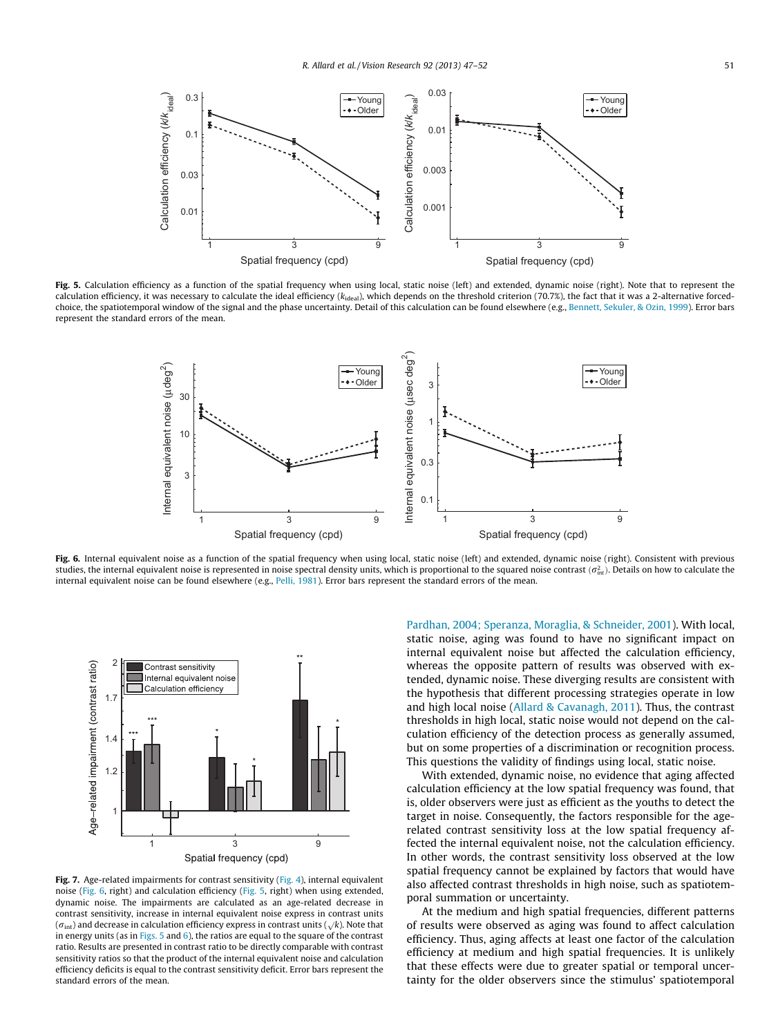<span id="page-4-0"></span>

Fig. 5. Calculation efficiency as a function of the spatial frequency when using local, static noise (left) and extended, dynamic noise (right). Note that to represent the calculation efficiency, it was necessary to calculate the ideal efficiency (k<sub>ideal</sub>), which depends on the threshold criterion (70.7%), the fact that it was a 2-alternative forcedchoice, the spatiotemporal window of the signal and the phase uncertainty. Detail of this calculation can be found elsewhere (e.g., [Bennett, Sekuler, & Ozin, 1999\)](#page-5-0). Error bars represent the standard errors of the mean.



Fig. 6. Internal equivalent noise as a function of the spatial frequency when using local, static noise (left) and extended, dynamic noise (right). Consistent with previous studies, the internal equivalent noise is represented in noise spectral density units, which is proportional to the squared noise contrast ( $\sigma_{\rm int}^2$ ). Details on how to calculate the internal equivalent noise can be found elsewhere (e.g., [Pelli, 1981](#page-5-0)). Error bars represent the standard errors of the mean.



Fig. 7. Age-related impairments for contrast sensitivity [\(Fig. 4](#page-3-0)), internal equivalent noise (Fig. 6, right) and calculation efficiency (Fig. 5, right) when using extended, dynamic noise. The impairments are calculated as an age-related decrease in contrast sensitivity, increase in internal equivalent noise express in contrast units  $(\sigma_{int})$  and decrease in calculation efficiency express in contrast units ( $\sqrt{k}$ ). Note that in energy units (as in Figs. 5 and  $6$ ), the ratios are equal to the square of the contrast ratio. Results are presented in contrast ratio to be directly comparable with contrast sensitivity ratios so that the product of the internal equivalent noise and calculation efficiency deficits is equal to the contrast sensitivity deficit. Error bars represent the standard errors of the mean.

[Pardhan, 2004; Speranza, Moraglia, & Schneider, 2001\)](#page-5-0). With local, static noise, aging was found to have no significant impact on internal equivalent noise but affected the calculation efficiency, whereas the opposite pattern of results was observed with extended, dynamic noise. These diverging results are consistent with the hypothesis that different processing strategies operate in low and high local noise [\(Allard & Cavanagh, 2011\)](#page-5-0). Thus, the contrast thresholds in high local, static noise would not depend on the calculation efficiency of the detection process as generally assumed, but on some properties of a discrimination or recognition process. This questions the validity of findings using local, static noise.

With extended, dynamic noise, no evidence that aging affected calculation efficiency at the low spatial frequency was found, that is, older observers were just as efficient as the youths to detect the target in noise. Consequently, the factors responsible for the agerelated contrast sensitivity loss at the low spatial frequency affected the internal equivalent noise, not the calculation efficiency. In other words, the contrast sensitivity loss observed at the low spatial frequency cannot be explained by factors that would have also affected contrast thresholds in high noise, such as spatiotemporal summation or uncertainty.

At the medium and high spatial frequencies, different patterns of results were observed as aging was found to affect calculation efficiency. Thus, aging affects at least one factor of the calculation efficiency at medium and high spatial frequencies. It is unlikely that these effects were due to greater spatial or temporal uncertainty for the older observers since the stimulus' spatiotemporal